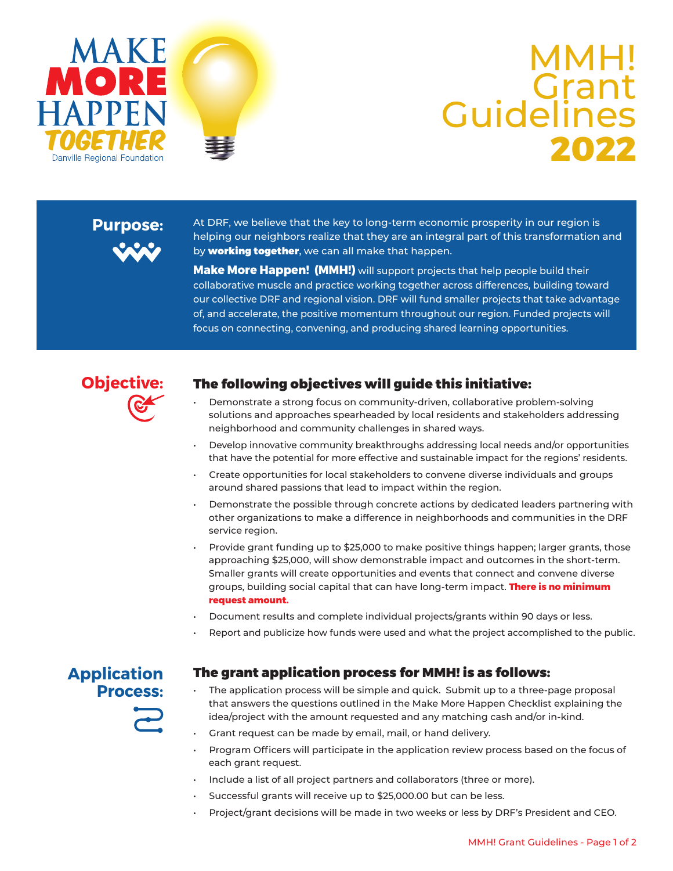



## TOGETHER **2022** MMH! **Grant Guidelines**

### **Purpose:**



At DRF, we believe that the key to long-term economic prosperity in our region is helping our neighbors realize that they are an integral part of this transformation and by **working together**, we can all make that happen.

**Make More Happen! (MMH!)** will support projects that help people build their collaborative muscle and practice working together across differences, building toward our collective DRF and regional vision. DRF will fund smaller projects that take advantage of, and accelerate, the positive momentum throughout our region. Funded projects will focus on connecting, convening, and producing shared learning opportunities.



### The following objectives will guide this initiative:

- Demonstrate a strong focus on community-driven, collaborative problem-solving solutions and approaches spearheaded by local residents and stakeholders addressing neighborhood and community challenges in shared ways.
- Develop innovative community breakthroughs addressing local needs and/or opportunities that have the potential for more effective and sustainable impact for the regions' residents.
- Create opportunities for local stakeholders to convene diverse individuals and groups around shared passions that lead to impact within the region.
- Demonstrate the possible through concrete actions by dedicated leaders partnering with other organizations to make a difference in neighborhoods and communities in the DRF service region.
- Provide grant funding up to \$25,000 to make positive things happen; larger grants, those approaching \$25,000, will show demonstrable impact and outcomes in the short-term. Smaller grants will create opportunities and events that connect and convene diverse groups, building social capital that can have long-term impact. **There is no minimum request amount.**
- Document results and complete individual projects/grants within 90 days or less.
- Report and publicize how funds were used and what the project accomplished to the public.

### **Application Process:**

#### The grant application process for MMH! is as follows:

- The application process will be simple and quick. Submit up to a three-page proposal that answers the questions outlined in the Make More Happen Checklist explaining the idea/project with the amount requested and any matching cash and/or in-kind.
- Grant request can be made by email, mail, or hand delivery.
- Program Officers will participate in the application review process based on the focus of each grant request.
- Include a list of all project partners and collaborators (three or more).
- Successful grants will receive up to \$25,000.00 but can be less.
- Project/grant decisions will be made in two weeks or less by DRF's President and CEO.